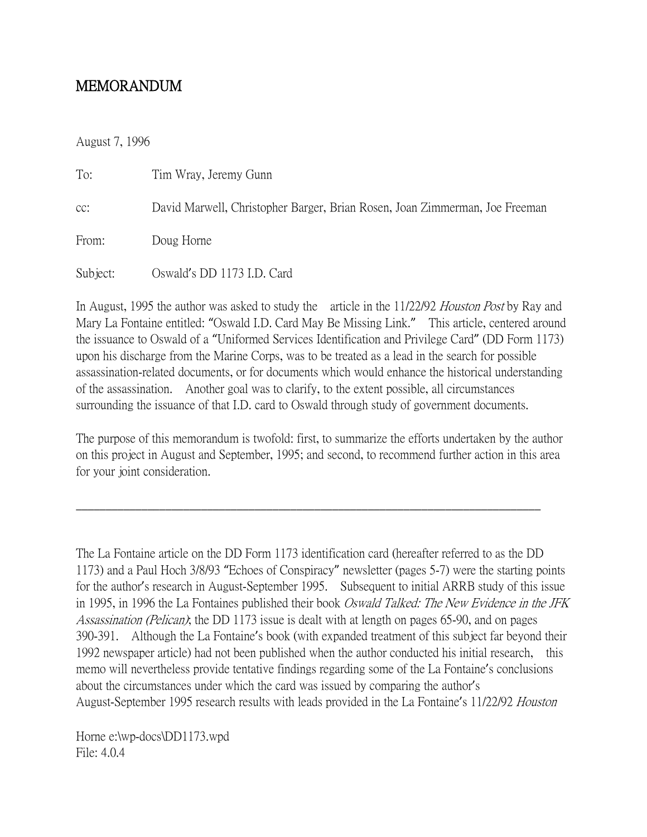## MEMORANDUM

August 7, 1996

| To:      | Tim Wray, Jeremy Gunn                                                       |
|----------|-----------------------------------------------------------------------------|
| CC:      | David Marwell, Christopher Barger, Brian Rosen, Joan Zimmerman, Joe Freeman |
| From:    | Doug Horne                                                                  |
| Subject: | Oswald's DD 1173 I.D. Card                                                  |

In August, 1995 the author was asked to study the article in the 11/22/92 *Houston Post* by Ray and Mary La Fontaine entitled: "Oswald I.D. Card May Be Missing Link." This article, centered around the issuance to Oswald of a "Uniformed Services Identification and Privilege Card" (DD Form 1173) upon his discharge from the Marine Corps, was to be treated as a lead in the search for possible assassination-related documents, or for documents which would enhance the historical understanding of the assassination. Another goal was to clarify, to the extent possible, all circumstances surrounding the issuance of that I.D. card to Oswald through study of government documents.

The purpose of this memorandum is twofold: first, to summarize the efforts undertaken by the author on this project in August and September, 1995; and second, to recommend further action in this area for your joint consideration.

 $\_$  , and the set of the set of the set of the set of the set of the set of the set of the set of the set of the set of the set of the set of the set of the set of the set of the set of the set of the set of the set of th

The La Fontaine article on the DD Form 1173 identification card (hereafter referred to as the DD 1173) and a Paul Hoch 3/8/93 "Echoes of Conspiracy" newsletter (pages 5-7) were the starting points for the author's research in August-September 1995. Subsequent to initial ARRB study of this issue in 1995, in 1996 the La Fontaines published their book *Oswald Talked: The New Evidence in the JFK* Assassination (Pelican); the DD 1173 issue is dealt with at length on pages 65-90, and on pages 390-391. Although the La Fontaine's book (with expanded treatment of this subject far beyond their 1992 newspaper article) had not been published when the author conducted his initial research, this memo will nevertheless provide tentative findings regarding some of the La Fontaine's conclusions about the circumstances under which the card was issued by comparing the author's August-September 1995 research results with leads provided in the La Fontaine's 11/22/92 Houston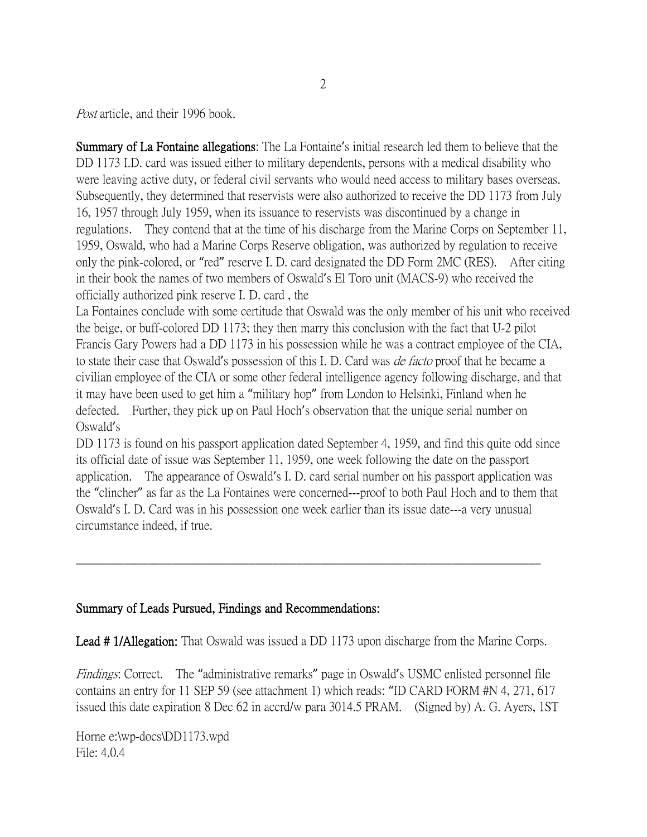Post article, and their 1996 book.

Summary of La Fontaine allegations: The La Fontaine's initial research led them to believe that the DD 1173 I.D. card was issued either to military dependents, persons with a medical disability who were leaving active duty, or federal civil servants who would need access to military bases overseas. Subsequently, they determined that reservists were also authorized to receive the DD 1173 from July 16, 1957 through July 1959, when its issuance to reservists was discontinued by a change in regulations. They contend that at the time of his discharge from the Marine Corps on September 11, 1959, Oswald, who had a Marine Corps Reserve obligation, was authorized by regulation to receive only the pink-colored, or "red" reserve I. D. card designated the DD Form 2MC (RES). After citing in their book the names of two members of Oswald's El Toro unit (MACS-9) who received the officially authorized pink reserve I. D. card , the

La Fontaines conclude with some certitude that Oswald was the only member of his unit who received the beige, or buff-colored DD 1173; they then marry this conclusion with the fact that U-2 pilot Francis Gary Powers had a DD 1173 in his possession while he was a contract employee of the CIA, to state their case that Oswald's possession of this I. D. Card was *de facto* proof that he became a civilian employee of the CIA or some other federal intelligence agency following discharge, and that it may have been used to get him a "military hop" from London to Helsinki, Finland when he defected. Further, they pick up on Paul Hoch's observation that the unique serial number on Oswald's

DD 1173 is found on his passport application dated September 4, 1959, and find this quite odd since its official date of issue was September 11, 1959, one week following the date on the passport application. The appearance of Oswald's I. D. card serial number on his passport application was the "clincher" as far as the La Fontaines were concerned---proof to both Paul Hoch and to them that Oswald's I. D. Card was in his possession one week earlier than its issue date---a very unusual circumstance indeed, if true.

## Summary of Leads Pursued, Findings and Recommendations:

Lead # 1/Allegation: That Oswald was issued a DD 1173 upon discharge from the Marine Corps.

\_\_\_\_\_\_\_\_\_\_\_\_\_\_\_\_\_\_\_\_\_\_\_\_\_\_\_\_\_\_\_\_\_\_\_\_\_\_\_\_\_\_\_\_\_\_\_\_\_\_\_\_\_\_\_\_\_\_\_\_\_\_\_\_\_\_\_\_\_\_\_\_\_\_\_\_\_\_

Findings: Correct. The "administrative remarks" page in Oswald's USMC enlisted personnel file contains an entry for 11 SEP 59 (see attachment 1) which reads: "ID CARD FORM #N 4, 271, 617 issued this date expiration 8 Dec 62 in accrd/w para 3014.5 PRAM. (Signed by) A. G. Ayers, 1ST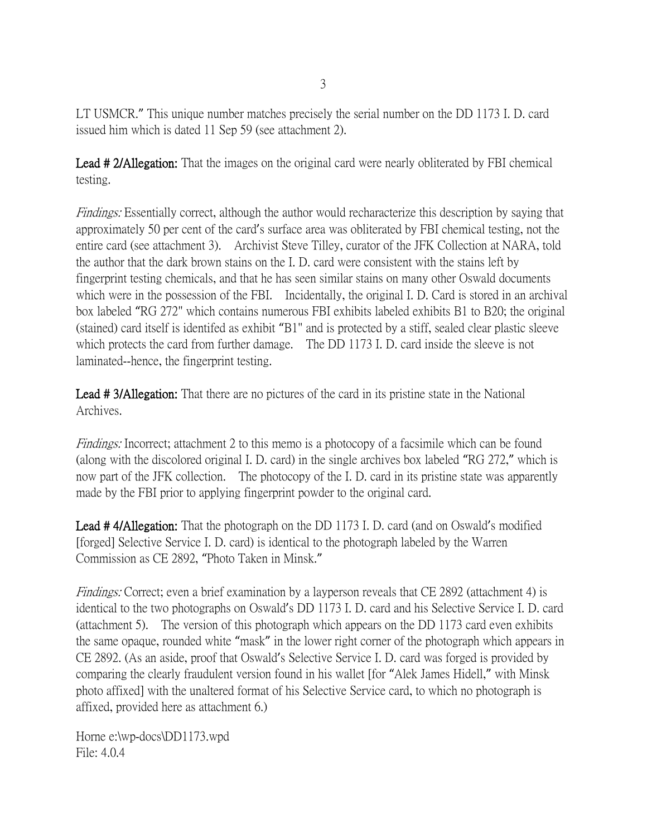LT USMCR." This unique number matches precisely the serial number on the DD 1173 I. D. card issued him which is dated 11 Sep 59 (see attachment 2).

Lead #2/Allegation: That the images on the original card were nearly obliterated by FBI chemical testing.

Findings: Essentially correct, although the author would recharacterize this description by saying that approximately 50 per cent of the card's surface area was obliterated by FBI chemical testing, not the entire card (see attachment 3). Archivist Steve Tilley, curator of the JFK Collection at NARA, told the author that the dark brown stains on the I. D. card were consistent with the stains left by fingerprint testing chemicals, and that he has seen similar stains on many other Oswald documents which were in the possession of the FBI. Incidentally, the original I. D. Card is stored in an archival box labeled "RG 272" which contains numerous FBI exhibits labeled exhibits B1 to B20; the original (stained) card itself is identifed as exhibit "B1" and is protected by a stiff, sealed clear plastic sleeve which protects the card from further damage. The DD 1173 I. D. card inside the sleeve is not laminated--hence, the fingerprint testing.

Lead #3/Allegation: That there are no pictures of the card in its pristine state in the National Archives.

Findings: Incorrect; attachment 2 to this memo is a photocopy of a facsimile which can be found (along with the discolored original I. D. card) in the single archives box labeled "RG 272," which is now part of the JFK collection. The photocopy of the I. D. card in its pristine state was apparently made by the FBI prior to applying fingerprint powder to the original card.

Lead #4/Allegation: That the photograph on the DD 1173 I. D. card (and on Oswald's modified [forged] Selective Service I. D. card) is identical to the photograph labeled by the Warren Commission as CE 2892, "Photo Taken in Minsk."

Findings: Correct; even a brief examination by a layperson reveals that CE 2892 (attachment 4) is identical to the two photographs on Oswald's DD 1173 I. D. card and his Selective Service I. D. card (attachment 5). The version of this photograph which appears on the DD 1173 card even exhibits the same opaque, rounded white "mask" in the lower right corner of the photograph which appears in CE 2892. (As an aside, proof that Oswald's Selective Service I. D. card was forged is provided by comparing the clearly fraudulent version found in his wallet [for "Alek James Hidell," with Minsk photo affixed] with the unaltered format of his Selective Service card, to which no photograph is affixed, provided here as attachment 6.)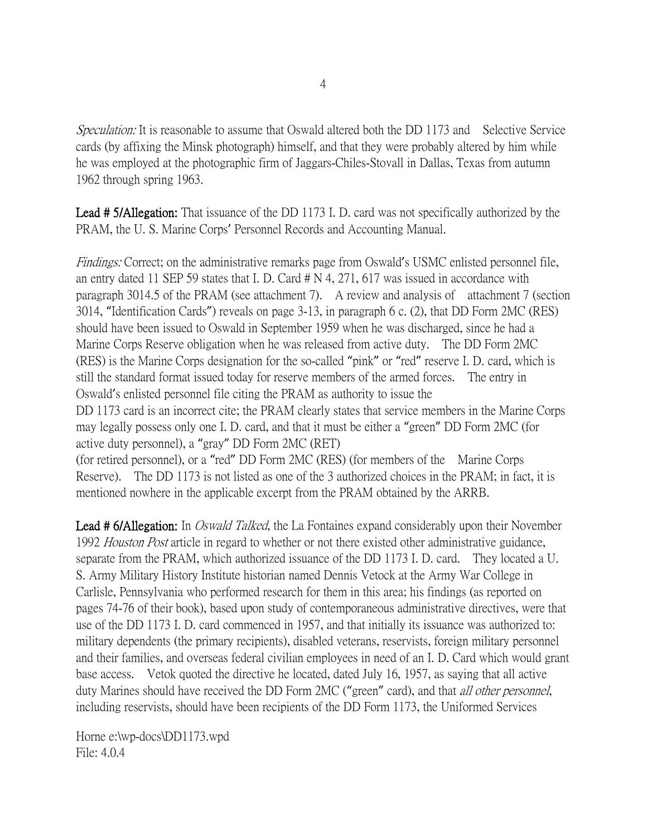Speculation: It is reasonable to assume that Oswald altered both the DD 1173 and Selective Service cards (by affixing the Minsk photograph) himself, and that they were probably altered by him while he was employed at the photographic firm of Jaggars-Chiles-Stovall in Dallas, Texas from autumn 1962 through spring 1963.

Lead #5/Allegation: That issuance of the DD 1173 I. D. card was not specifically authorized by the PRAM, the U. S. Marine Corps' Personnel Records and Accounting Manual.

Findings: Correct; on the administrative remarks page from Oswald's USMC enlisted personnel file, an entry dated 11 SEP 59 states that I. D. Card # N 4, 271, 617 was issued in accordance with paragraph 3014.5 of the PRAM (see attachment 7). A review and analysis of attachment 7 (section 3014, "Identification Cards") reveals on page 3-13, in paragraph 6 c. (2), that DD Form 2MC (RES) should have been issued to Oswald in September 1959 when he was discharged, since he had a Marine Corps Reserve obligation when he was released from active duty. The DD Form 2MC (RES) is the Marine Corps designation for the so-called "pink" or "red" reserve I. D. card, which is still the standard format issued today for reserve members of the armed forces. The entry in Oswald's enlisted personnel file citing the PRAM as authority to issue the DD 1173 card is an incorrect cite; the PRAM clearly states that service members in the Marine Corps may legally possess only one I. D. card, and that it must be either a "green" DD Form 2MC (for active duty personnel), a "gray" DD Form 2MC (RET) (for retired personnel), or a "red" DD Form 2MC (RES) (for members of the Marine Corps Reserve). The DD 1173 is not listed as one of the 3 authorized choices in the PRAM; in fact, it is mentioned nowhere in the applicable excerpt from the PRAM obtained by the ARRB.

**Lead # 6/Allegation:** In *Oswald Talked*, the La Fontaines expand considerably upon their November 1992 Houston Post article in regard to whether or not there existed other administrative guidance, separate from the PRAM, which authorized issuance of the DD 1173 I. D. card. They located a U. S. Army Military History Institute historian named Dennis Vetock at the Army War College in Carlisle, Pennsylvania who performed research for them in this area; his findings (as reported on pages 74-76 of their book), based upon study of contemporaneous administrative directives, were that use of the DD 1173 I. D. card commenced in 1957, and that initially its issuance was authorized to: military dependents (the primary recipients), disabled veterans, reservists, foreign military personnel and their families, and overseas federal civilian employees in need of an I. D. Card which would grant base access. Vetok quoted the directive he located, dated July 16, 1957, as saying that all active duty Marines should have received the DD Form 2MC ("green" card), and that *all other personnel*, including reservists, should have been recipients of the DD Form 1173, the Uniformed Services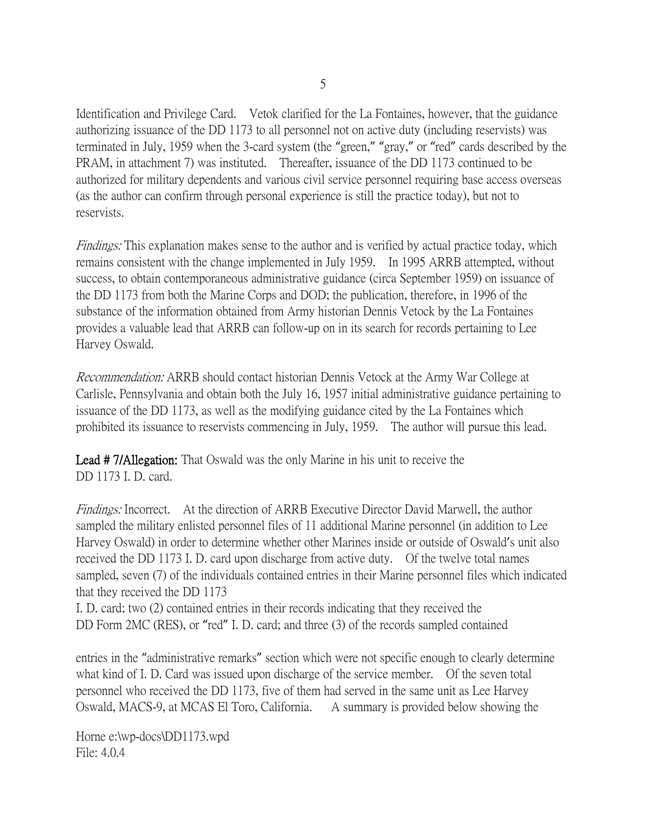Identification and Privilege Card. Vetok clarified for the La Fontaines, however, that the guidance authorizing issuance of the DD 1173 to all personnel not on active duty (including reservists) was terminated in July, 1959 when the 3-card system (the "green," "gray," or "red" cards described by the PRAM, in attachment 7) was instituted. Thereafter, issuance of the DD 1173 continued to be authorized for military dependents and various civil service personnel requiring base access overseas (as the author can confirm through personal experience is still the practice today), but not to reservists.

Findings: This explanation makes sense to the author and is verified by actual practice today, which remains consistent with the change implemented in July 1959. In 1995 ARRB attempted, without success, to obtain contemporaneous administrative guidance (circa September 1959) on issuance of the DD 1173 from both the Marine Corps and DOD; the publication, therefore, in 1996 of the substance of the information obtained from Army historian Dennis Vetock by the La Fontaines provides a valuable lead that ARRB can follow-up on in its search for records pertaining to Lee Harvey Oswald.

Recommendation: ARRB should contact historian Dennis Vetock at the Army War College at Carlisle, Pennsylvania and obtain both the July 16, 1957 initial administrative guidance pertaining to issuance of the DD 1173, as well as the modifying guidance cited by the La Fontaines which prohibited its issuance to reservists commencing in July, 1959. The author will pursue this lead.

Lead # 7/Allegation: That Oswald was the only Marine in his unit to receive the DD 1173 I. D. card.

Findings: Incorrect. At the direction of ARRB Executive Director David Marwell, the author sampled the military enlisted personnel files of 11 additional Marine personnel (in addition to Lee Harvey Oswald) in order to determine whether other Marines inside or outside of Oswald's unit also received the DD 1173 I. D. card upon discharge from active duty. Of the twelve total names sampled, seven (7) of the individuals contained entries in their Marine personnel files which indicated that they received the DD 1173

I. D. card; two (2) contained entries in their records indicating that they received the DD Form 2MC (RES), or "red" I. D. card; and three (3) of the records sampled contained

entries in the "administrative remarks" section which were not specific enough to clearly determine what kind of I. D. Card was issued upon discharge of the service member. Of the seven total personnel who received the DD 1173, five of them had served in the same unit as Lee Harvey Oswald, MACS-9, at MCAS El Toro, California. A summary is provided below showing the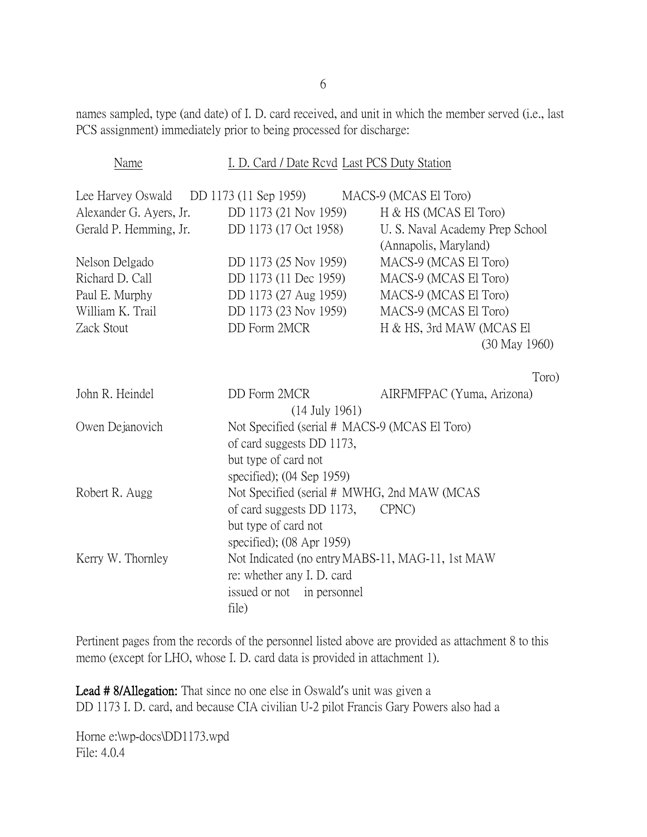names sampled, type (and date) of I. D. card received, and unit in which the member served (i.e., last PCS assignment) immediately prior to being processed for discharge:

| Name                                                             | I. D. Card / Date Revd Last PCS Duty Station      |                                 |  |
|------------------------------------------------------------------|---------------------------------------------------|---------------------------------|--|
| Lee Harvey Oswald DD 1173 (11 Sep 1959)<br>MACS-9 (MCAS El Toro) |                                                   |                                 |  |
| Alexander G. Ayers, Jr.                                          | DD 1173 (21 Nov 1959)                             | H & HS (MCAS El Toro)           |  |
| Gerald P. Hemming, Jr.                                           | DD 1173 (17 Oct 1958)                             | U. S. Naval Academy Prep School |  |
|                                                                  |                                                   | (Annapolis, Maryland)           |  |
| Nelson Delgado                                                   | DD 1173 (25 Nov 1959)                             | MACS-9 (MCAS El Toro)           |  |
| Richard D. Call                                                  | DD 1173 (11 Dec 1959)                             | MACS-9 (MCAS El Toro)           |  |
| Paul E. Murphy                                                   | DD 1173 (27 Aug 1959)                             | MACS-9 (MCAS El Toro)           |  |
| William K. Trail                                                 | DD 1173 (23 Nov 1959)                             | MACS-9 (MCAS El Toro)           |  |
| Zack Stout                                                       | <b>DD</b> Form 2MCR                               | H & HS, 3rd MAW (MCAS El        |  |
|                                                                  |                                                   | $(30 \text{ May } 1960)$        |  |
|                                                                  |                                                   |                                 |  |
|                                                                  |                                                   | Toro)                           |  |
| John R. Heindel                                                  | DD Form 2MCR                                      | AIRFMFPAC (Yuma, Arizona)       |  |
|                                                                  | $(14$ July 1961)                                  |                                 |  |
| Owen Dejanovich                                                  | Not Specified (serial # MACS-9 (MCAS El Toro)     |                                 |  |
|                                                                  | of card suggests DD 1173,                         |                                 |  |
|                                                                  | but type of card not                              |                                 |  |
|                                                                  | specified); $(04$ Sep 1959)                       |                                 |  |
| Robert R. Augg                                                   | Not Specified (serial # MWHG, 2nd MAW (MCAS       |                                 |  |
|                                                                  | of card suggests DD 1173,                         | CPNC)                           |  |
|                                                                  | but type of card not                              |                                 |  |
|                                                                  | specified); $(08 \text{ Apr } 1959)$              |                                 |  |
| Kerry W. Thornley                                                | Not Indicated (no entry MABS-11, MAG-11, 1st MAW) |                                 |  |
|                                                                  | re: whether any I. D. card                        |                                 |  |
|                                                                  | issued or not in personnel                        |                                 |  |
|                                                                  | file)                                             |                                 |  |

Pertinent pages from the records of the personnel listed above are provided as attachment 8 to this memo (except for LHO, whose I. D. card data is provided in attachment 1).

Lead # 8/Allegation: That since no one else in Oswald's unit was given a DD 1173 I. D. card, and because CIA civilian U-2 pilot Francis Gary Powers also had a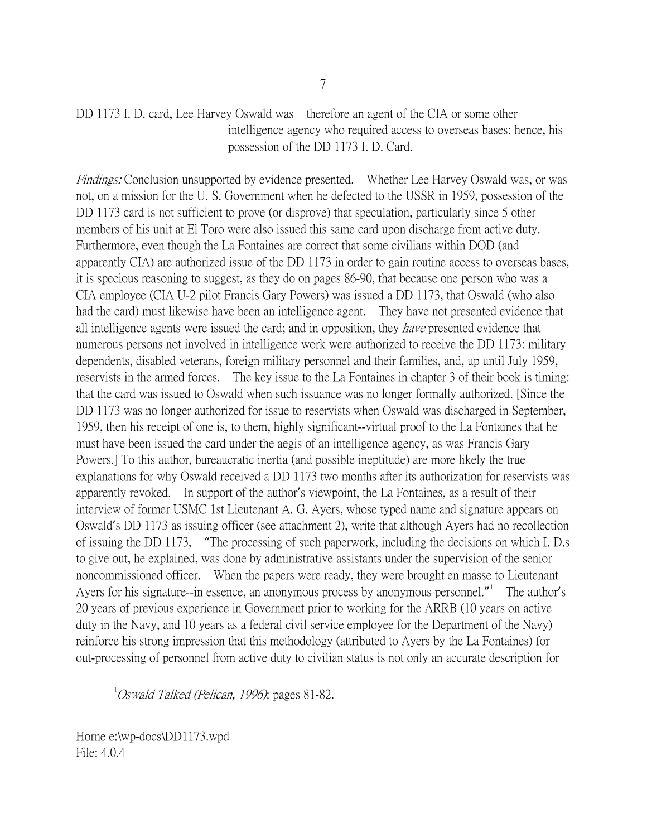## DD 1173 I. D. card, Lee Harvey Oswald was therefore an agent of the CIA or some other intelligence agency who required access to overseas bases: hence, his possession of the DD 1173 I. D. Card.

Findings: Conclusion unsupported by evidence presented. Whether Lee Harvey Oswald was, or was not, on a mission for the U. S. Government when he defected to the USSR in 1959, possession of the DD 1173 card is not sufficient to prove (or disprove) that speculation, particularly since 5 other members of his unit at El Toro were also issued this same card upon discharge from active duty. Furthermore, even though the La Fontaines are correct that some civilians within DOD (and apparently CIA) are authorized issue of the DD 1173 in order to gain routine access to overseas bases, it is specious reasoning to suggest, as they do on pages 86-90, that because one person who was a CIA employee (CIA U-2 pilot Francis Gary Powers) was issued a DD 1173, that Oswald (who also had the card) must likewise have been an intelligence agent. They have not presented evidence that all intelligence agents were issued the card; and in opposition, they have presented evidence that numerous persons not involved in intelligence work were authorized to receive the DD 1173: military dependents, disabled veterans, foreign military personnel and their families, and, up until July 1959, reservists in the armed forces. The key issue to the La Fontaines in chapter 3 of their book is timing: that the card was issued to Oswald when such issuance was no longer formally authorized. [Since the DD 1173 was no longer authorized for issue to reservists when Oswald was discharged in September, 1959, then his receipt of one is, to them, highly significant--virtual proof to the La Fontaines that he must have been issued the card under the aegis of an intelligence agency, as was Francis Gary Powers.] To this author, bureaucratic inertia (and possible ineptitude) are more likely the true explanations for why Oswald received a DD 1173 two months after its authorization for reservists was apparently revoked. In support of the author's viewpoint, the La Fontaines, as a result of their interview of former USMC 1st Lieutenant A. G. Ayers, whose typed name and signature appears on Oswald's DD 1173 as issuing officer (see attachment 2), write that although Ayers had no recollection of issuing the DD 1173, "The processing of such paperwork, including the decisions on which I. D.s to give out, he explained, was done by administrative assistants under the supervision of the senior noncommissioned officer. When the papers were ready, they were brought en masse to Lieutenant Ayers for his signature--in essence, an anonymous process by anonymous personnel." The author's 20 years of previous experience in Government prior to working for the ARRB (10 years on active duty in the Navy, and 10 years as a federal civil service employee for the Department of the Navy) reinforce his strong impression that this methodology (attributed to Ayers by the La Fontaines) for out-processing of personnel from active duty to civilian status is not only an accurate description for

<span id="page-6-0"></span> $\overline{\phantom{a}}$  $1$ Oswald Talked (Pelican, 1996): pages 81-82.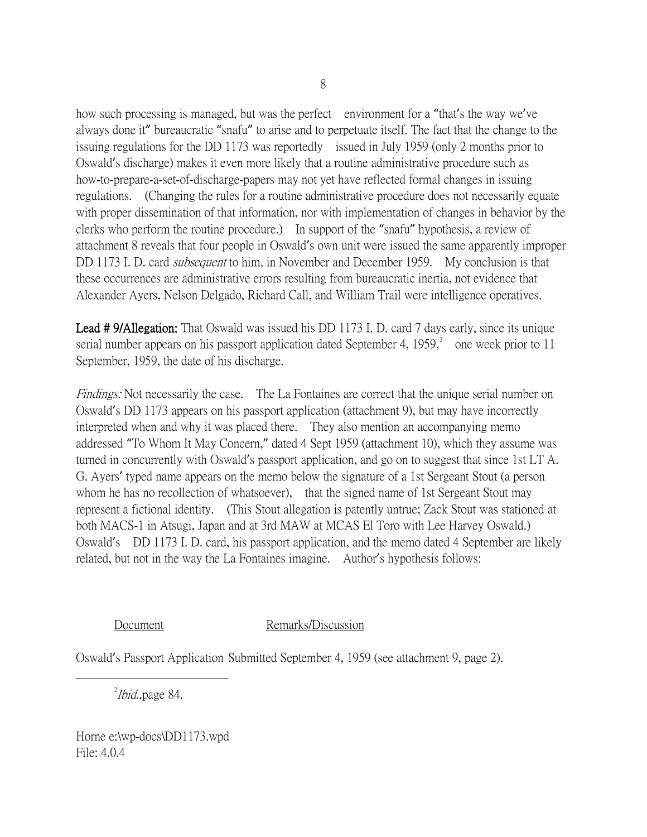how such processing is managed, but was the perfect environment for a "that's the way we've always done it" bureaucratic "snafu" to arise and to perpetuate itself. The fact that the change to the issuing regulations for the DD 1173 was reportedly issued in July 1959 (only 2 months prior to Oswald's discharge) makes it even more likely that a routine administrative procedure such as how-to-prepare-a-set-of-discharge-papers may not yet have reflected formal changes in issuing regulations. (Changing the rules for a routine administrative procedure does not necessarily equate with proper dissemination of that information, nor with implementation of changes in behavior by the clerks who perform the routine procedure.) In support of the "snafu" hypothesis, a review of attachment 8 reveals that four people in Oswald's own unit were issued the same apparently improper DD 1173 I. D. card *subsequent* to him, in November and December 1959. My conclusion is that these occurrences are administrative errors resulting from bureaucratic inertia, not evidence that Alexander Ayers, Nelson Delgado, Richard Call, and William Trail were intelligence operatives.

Lead #9/Allegation: That Oswald was issued his DD 1173 I. D. card 7 days early, since its unique serial number appears on his passport application dated September 4,  $1959$ ,  $^{2}$  $^{2}$  $^{2}$  one week prior to 11 September, 1959, the date of his discharge.

Findings: Not necessarily the case. The La Fontaines are correct that the unique serial number on Oswald's DD 1173 appears on his passport application (attachment 9), but may have incorrectly interpreted when and why it was placed there. They also mention an accompanying memo addressed "To Whom It May Concern," dated 4 Sept 1959 (attachment 10), which they assume was turned in concurrently with Oswald's passport application, and go on to suggest that since 1st LT A. G. Ayers' typed name appears on the memo below the signature of a 1st Sergeant Stout (a person whom he has no recollection of whatsoever), that the signed name of 1st Sergeant Stout may represent a fictional identity. (This Stout allegation is patently untrue; Zack Stout was stationed at both MACS-1 in Atsugi, Japan and at 3rd MAW at MCAS El Toro with Lee Harvey Oswald.) Oswald's DD 1173 I. D. card, his passport application, and the memo dated 4 September are likely related, but not in the way the La Fontaines imagine. Author's hypothesis follows:

Document Remarks/Discussion

Oswald's Passport Application Submitted September 4, 1959 (see attachment 9, page 2).

<span id="page-7-0"></span> $\overline{\phantom{a}}$  2  $^{2}$ *Ibid*., page 84.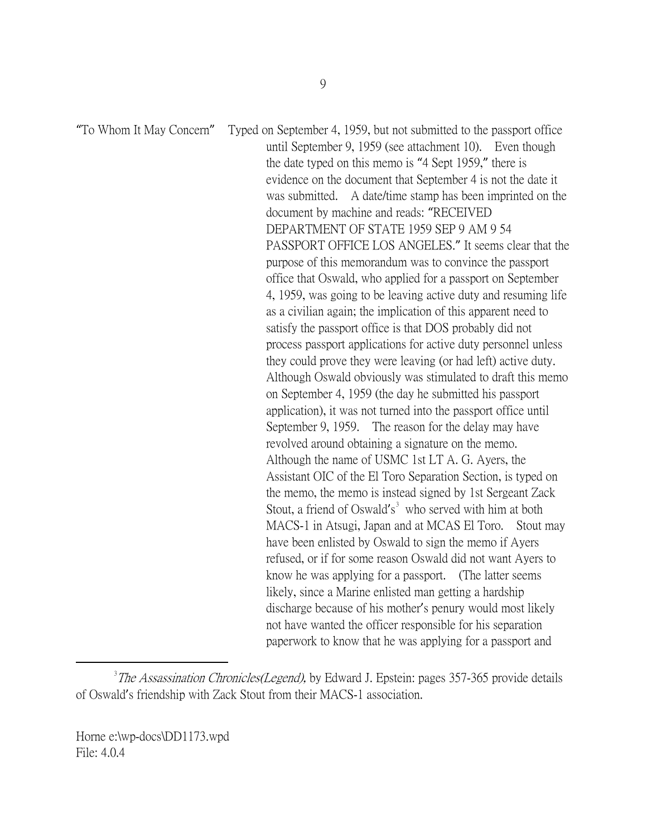"To Whom It May Concern" Typed on September 4, 1959, but not submitted to the passport office until September 9, 1959 (see attachment 10). Even though the date typed on this memo is "4 Sept 1959," there is evidence on the document that September 4 is not the date it was submitted. A date/time stamp has been imprinted on the document by machine and reads: "RECEIVED DEPARTMENT OF STATE 1959 SEP 9 AM 9 54 PASSPORT OFFICE LOS ANGELES." It seems clear that the purpose of this memorandum was to convince the passport office that Oswald, who applied for a passport on September 4, 1959, was going to be leaving active duty and resuming life as a civilian again; the implication of this apparent need to satisfy the passport office is that DOS probably did not process passport applications for active duty personnel unless they could prove they were leaving (or had left) active duty. Although Oswald obviously was stimulated to draft this memo on September 4, 1959 (the day he submitted his passport application), it was not turned into the passport office until September 9, 1959. The reason for the delay may have revolved around obtaining a signature on the memo. Although the name of USMC 1st LT A. G. Ayers, the Assistant OIC of the El Toro Separation Section, is typed on the memo, the memo is instead signed by 1st Sergeant Zack Stout, a friend of Oswald's<sup>[3](#page-8-0)</sup> who served with him at both MACS-1 in Atsugi, Japan and at MCAS El Toro. Stout may have been enlisted by Oswald to sign the memo if Ayers refused, or if for some reason Oswald did not want Ayers to know he was applying for a passport. (The latter seems likely, since a Marine enlisted man getting a hardship discharge because of his mother's penury would most likely not have wanted the officer responsible for his separation paperwork to know that he was applying for a passport and

<span id="page-8-0"></span> $\frac{1}{3}$  $3$ The Assassination Chronicles(Legend), by Edward J. Epstein: pages 357-365 provide details of Oswald's friendship with Zack Stout from their MACS-1 association.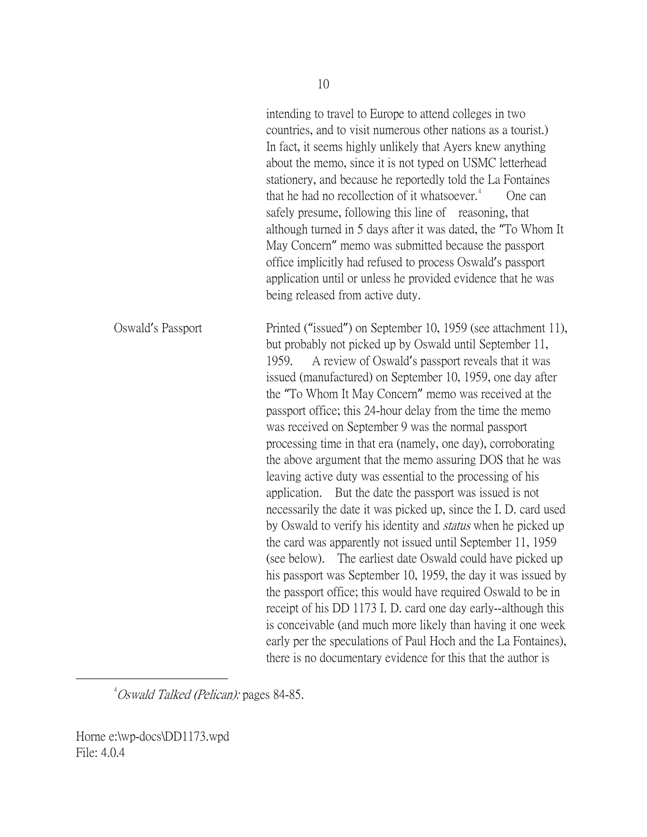intending to travel to Europe to attend colleges in two countries, and to visit numerous other nations as a tourist.) In fact, it seems highly unlikely that Ayers knew anything about the memo, since it is not typed on USMC letterhead stationery, and because he reportedly told the La Fontaines that he had no recollection of it whatsoever.<sup>[4](#page-9-0)</sup> One can safely presume, following this line of reasoning, that although turned in 5 days after it was dated, the "To Whom It May Concern" memo was submitted because the passport office implicitly had refused to process Oswald's passport application until or unless he provided evidence that he was being released from active duty. Oswald's Passport Printed ("issued") on September 10, 1959 (see attachment 11), but probably not picked up by Oswald until September 11, 1959. A review of Oswald's passport reveals that it was issued (manufactured) on September 10, 1959, one day after the "To Whom It May Concern" memo was received at the passport office; this 24-hour delay from the time the memo was received on September 9 was the normal passport processing time in that era (namely, one day), corroborating the above argument that the memo assuring DOS that he was leaving active duty was essential to the processing of his application. But the date the passport was issued is not necessarily the date it was picked up, since the I. D. card used by Oswald to verify his identity and *status* when he picked up the card was apparently not issued until September 11, 1959 (see below). The earliest date Oswald could have picked up his passport was September 10, 1959, the day it was issued by the passport office; this would have required Oswald to be in receipt of his DD 1173 I. D. card one day early--although this is conceivable (and much more likely than having it one week early per the speculations of Paul Hoch and the La Fontaines), there is no documentary evidence for this that the author is

<span id="page-9-0"></span> $\frac{1}{4}$  $^{4}$ Oswald Talked (Pelican): pages 84-85.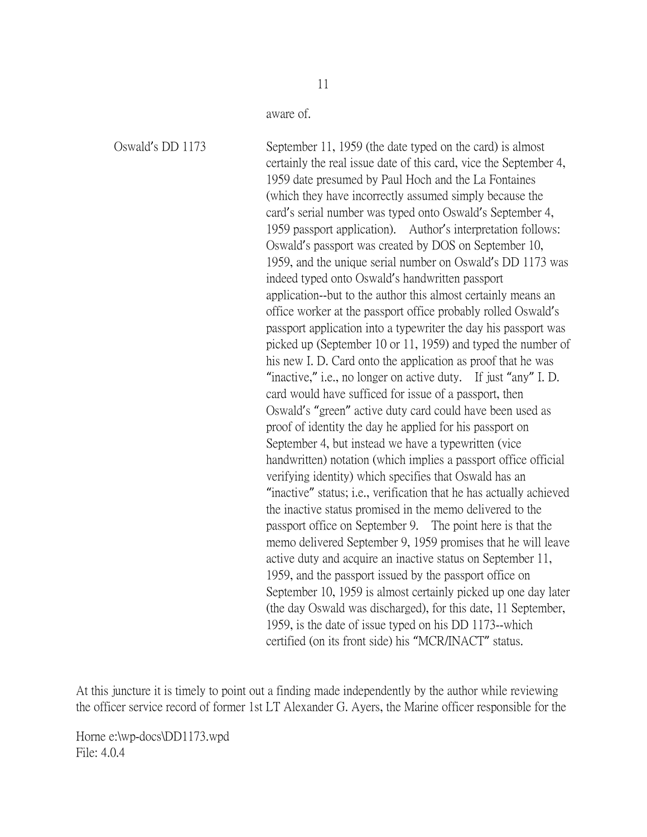aware of.

Oswald's DD 1173 September 11, 1959 (the date typed on the card) is almost certainly the real issue date of this card, vice the September 4, 1959 date presumed by Paul Hoch and the La Fontaines (which they have incorrectly assumed simply because the card's serial number was typed onto Oswald's September 4, 1959 passport application). Author's interpretation follows: Oswald's passport was created by DOS on September 10, 1959, and the unique serial number on Oswald's DD 1173 was indeed typed onto Oswald's handwritten passport application--but to the author this almost certainly means an office worker at the passport office probably rolled Oswald's passport application into a typewriter the day his passport was picked up (September 10 or 11, 1959) and typed the number of his new I. D. Card onto the application as proof that he was "inactive," i.e., no longer on active duty. If just "any" I. D. card would have sufficed for issue of a passport, then Oswald's "green" active duty card could have been used as proof of identity the day he applied for his passport on September 4, but instead we have a typewritten (vice handwritten) notation (which implies a passport office official verifying identity) which specifies that Oswald has an "inactive" status; i.e., verification that he has actually achieved the inactive status promised in the memo delivered to the passport office on September 9. The point here is that the memo delivered September 9, 1959 promises that he will leave active duty and acquire an inactive status on September 11, 1959, and the passport issued by the passport office on September 10, 1959 is almost certainly picked up one day later (the day Oswald was discharged), for this date, 11 September, 1959, is the date of issue typed on his DD 1173--which certified (on its front side) his "MCR/INACT" status.

At this juncture it is timely to point out a finding made independently by the author while reviewing the officer service record of former 1st LT Alexander G. Ayers, the Marine officer responsible for the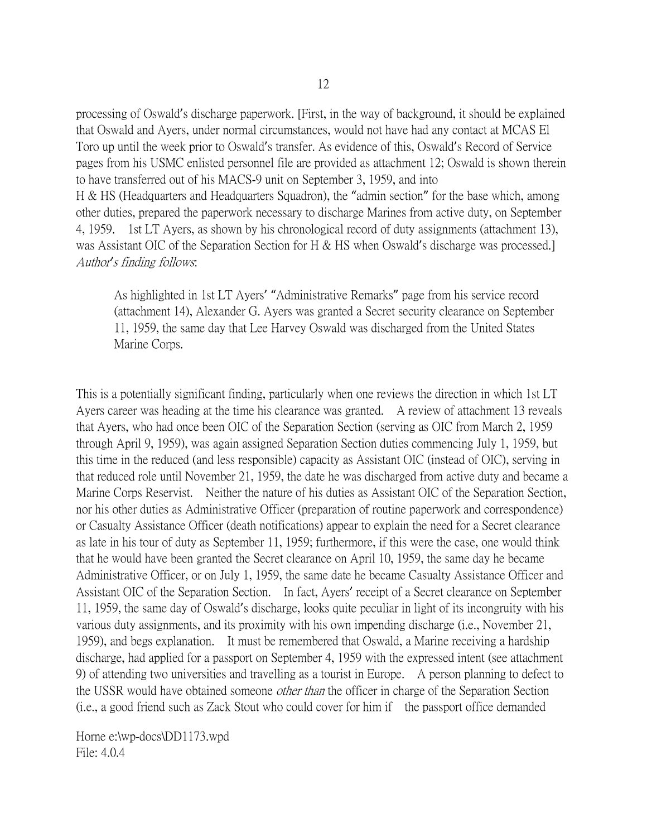processing of Oswald's discharge paperwork. [First, in the way of background, it should be explained that Oswald and Ayers, under normal circumstances, would not have had any contact at MCAS El Toro up until the week prior to Oswald's transfer. As evidence of this, Oswald's Record of Service pages from his USMC enlisted personnel file are provided as attachment 12; Oswald is shown therein to have transferred out of his MACS-9 unit on September 3, 1959, and into H & HS (Headquarters and Headquarters Squadron), the "admin section" for the base which, among other duties, prepared the paperwork necessary to discharge Marines from active duty, on September 4, 1959. 1st LT Ayers, as shown by his chronological record of duty assignments (attachment 13), was Assistant OIC of the Separation Section for H & HS when Oswald's discharge was processed.] Author*'*s finding follows:

As highlighted in 1st LT Ayers' "Administrative Remarks" page from his service record (attachment 14), Alexander G. Ayers was granted a Secret security clearance on September 11, 1959, the same day that Lee Harvey Oswald was discharged from the United States Marine Corps.

This is a potentially significant finding, particularly when one reviews the direction in which 1st LT Ayers career was heading at the time his clearance was granted. A review of attachment 13 reveals that Ayers, who had once been OIC of the Separation Section (serving as OIC from March 2, 1959 through April 9, 1959), was again assigned Separation Section duties commencing July 1, 1959, but this time in the reduced (and less responsible) capacity as Assistant OIC (instead of OIC), serving in that reduced role until November 21, 1959, the date he was discharged from active duty and became a Marine Corps Reservist. Neither the nature of his duties as Assistant OIC of the Separation Section, nor his other duties as Administrative Officer (preparation of routine paperwork and correspondence) or Casualty Assistance Officer (death notifications) appear to explain the need for a Secret clearance as late in his tour of duty as September 11, 1959; furthermore, if this were the case, one would think that he would have been granted the Secret clearance on April 10, 1959, the same day he became Administrative Officer, or on July 1, 1959, the same date he became Casualty Assistance Officer and Assistant OIC of the Separation Section. In fact, Ayers' receipt of a Secret clearance on September 11, 1959, the same day of Oswald's discharge, looks quite peculiar in light of its incongruity with his various duty assignments, and its proximity with his own impending discharge (i.e., November 21, 1959), and begs explanation. It must be remembered that Oswald, a Marine receiving a hardship discharge, had applied for a passport on September 4, 1959 with the expressed intent (see attachment 9) of attending two universities and travelling as a tourist in Europe. A person planning to defect to the USSR would have obtained someone *other than* the officer in charge of the Separation Section (i.e., a good friend such as Zack Stout who could cover for him if the passport office demanded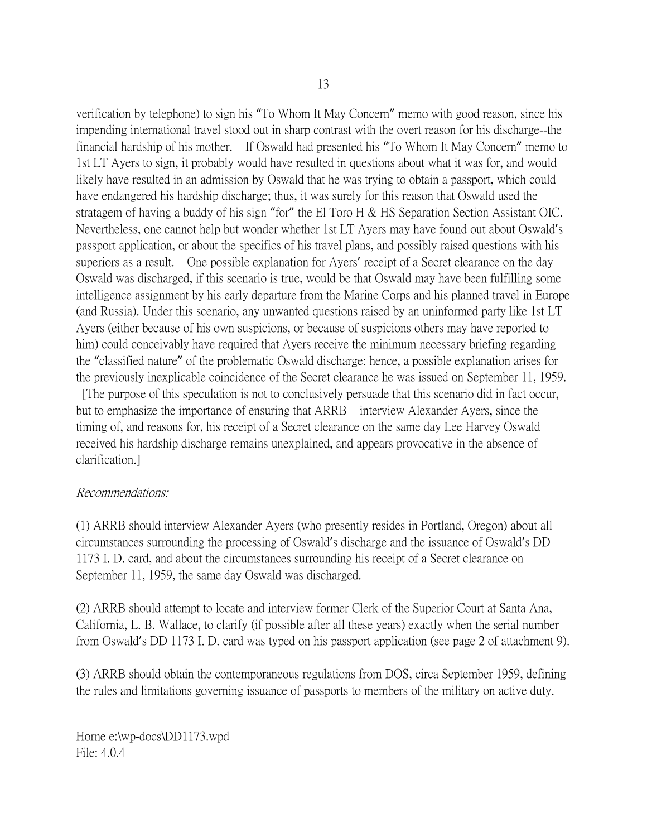verification by telephone) to sign his "To Whom It May Concern" memo with good reason, since his impending international travel stood out in sharp contrast with the overt reason for his discharge--the financial hardship of his mother. If Oswald had presented his "To Whom It May Concern" memo to 1st LT Ayers to sign, it probably would have resulted in questions about what it was for, and would likely have resulted in an admission by Oswald that he was trying to obtain a passport, which could have endangered his hardship discharge; thus, it was surely for this reason that Oswald used the stratagem of having a buddy of his sign "for" the El Toro H & HS Separation Section Assistant OIC. Nevertheless, one cannot help but wonder whether 1st LT Ayers may have found out about Oswald's passport application, or about the specifics of his travel plans, and possibly raised questions with his superiors as a result. One possible explanation for Ayers' receipt of a Secret clearance on the day Oswald was discharged, if this scenario is true, would be that Oswald may have been fulfilling some intelligence assignment by his early departure from the Marine Corps and his planned travel in Europe (and Russia). Under this scenario, any unwanted questions raised by an uninformed party like 1st LT Ayers (either because of his own suspicions, or because of suspicions others may have reported to him) could conceivably have required that Ayers receive the minimum necessary briefing regarding the "classified nature" of the problematic Oswald discharge: hence, a possible explanation arises for the previously inexplicable coincidence of the Secret clearance he was issued on September 11, 1959.

[The purpose of this speculation is not to conclusively persuade that this scenario did in fact occur, but to emphasize the importance of ensuring that ARRB interview Alexander Ayers, since the timing of, and reasons for, his receipt of a Secret clearance on the same day Lee Harvey Oswald received his hardship discharge remains unexplained, and appears provocative in the absence of clarification.]

## Recommendations:

(1) ARRB should interview Alexander Ayers (who presently resides in Portland, Oregon) about all circumstances surrounding the processing of Oswald's discharge and the issuance of Oswald's DD 1173 I. D. card, and about the circumstances surrounding his receipt of a Secret clearance on September 11, 1959, the same day Oswald was discharged.

(2) ARRB should attempt to locate and interview former Clerk of the Superior Court at Santa Ana, California, L. B. Wallace, to clarify (if possible after all these years) exactly when the serial number from Oswald's DD 1173 I. D. card was typed on his passport application (see page 2 of attachment 9).

(3) ARRB should obtain the contemporaneous regulations from DOS, circa September 1959, defining the rules and limitations governing issuance of passports to members of the military on active duty.